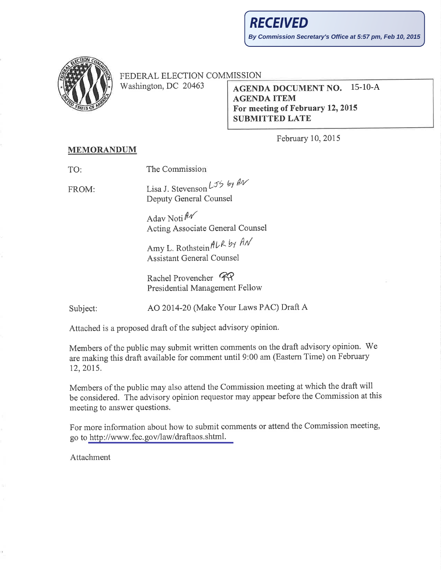

FEDERAL ELECTION COMMISSION

Washington, DC 20463

## **AGENDA DOCUMENT NO.** 15-10-A **AGENDA ITEM** For meeting of February 12, 2015 **SUBMITTED LATE**

February 10, 2015

## **MEMORANDUM**

The Commission TO:

FROM:

Lisa J. Stevenson  $L_{5}$  by  $M_{\sim}$ Deputy General Counsel

Adav Noti  $\n *A*$ Acting Associate General Counsel

Amy L. Rothstein ALR by AN **Assistant General Counsel** 

Rachel Provencher RP **Presidential Management Fellow** 

Subject:

AO 2014-20 (Make Your Laws PAC) Draft A

Attached is a proposed draft of the subject advisory opinion.

Members of the public may submit written comments on the draft advisory opinion. We are making this draft available for comment until 9:00 am (Eastern Time) on February 12, 2015.

Members of the public may also attend the Commission meeting at which the draft will be considered. The advisory opinion requestor may appear before the Commission at this meeting to answer questions.

For more information about how to submit comments or attend the Commission meeting, go to http://www.fec.gov/law/draftaos.shtml.

Attachment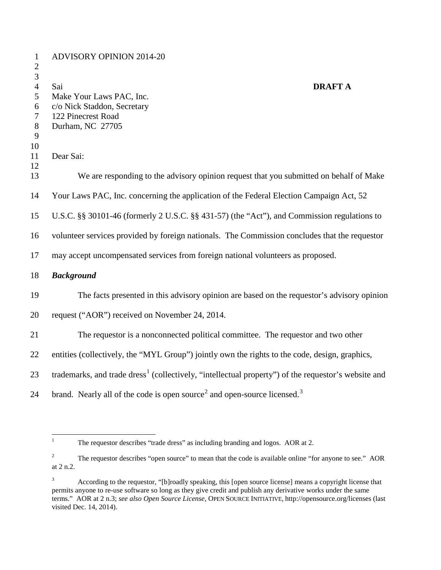| $\mathbf{1}$<br>$\mathfrak{2}$   | <b>ADVISORY OPINION 2014-20</b>                                                                                 |
|----------------------------------|-----------------------------------------------------------------------------------------------------------------|
| $\mathfrak{Z}$<br>$\overline{4}$ | Sai<br><b>DRAFT A</b>                                                                                           |
| 5                                | Make Your Laws PAC, Inc.                                                                                        |
| 6                                | c/o Nick Staddon, Secretary                                                                                     |
| 7                                | 122 Pinecrest Road<br>Durham, NC 27705                                                                          |
| $8\phantom{1}$<br>9              |                                                                                                                 |
| 10                               |                                                                                                                 |
| 11                               | Dear Sai:                                                                                                       |
| 12                               |                                                                                                                 |
| 13                               | We are responding to the advisory opinion request that you submitted on behalf of Make                          |
| 14                               | Your Laws PAC, Inc. concerning the application of the Federal Election Campaign Act, 52                         |
| 15                               | U.S.C. §§ 30101-46 (formerly 2 U.S.C. §§ 431-57) (the "Act"), and Commission regulations to                     |
| 16                               | volunteer services provided by foreign nationals. The Commission concludes that the requestor                   |
| 17                               | may accept uncompensated services from foreign national volunteers as proposed.                                 |
| 18                               | <b>Background</b>                                                                                               |
| 19                               | The facts presented in this advisory opinion are based on the requestor's advisory opinion                      |
| 20                               | request ("AOR") received on November 24, 2014.                                                                  |
| 21                               | The requestor is a nonconnected political committee. The requestor and two other                                |
| 22                               | entities (collectively, the "MYL Group") jointly own the rights to the code, design, graphics,                  |
| 23                               | trademarks, and trade dress <sup>1</sup> (collectively, "intellectual property") of the requestor's website and |
| 24                               | brand. Nearly all of the code is open source <sup>2</sup> and open-source licensed. <sup>3</sup>                |

<span id="page-1-0"></span><sup>&</sup>lt;sup>1</sup> The requestor describes "trade dress" as including branding and logos. AOR at 2.

<span id="page-1-1"></span><sup>&</sup>lt;sup>2</sup> The requestor describes "open source" to mean that the code is available online "for anyone to see." AOR at 2 n.2.

<span id="page-1-2"></span> According to the requestor, "[b]roadly speaking, this [open source license] means a copyright license that permits anyone to re-use software so long as they give credit and publish any derivative works under the same terms." AOR at 2 n.3; *see also Open Source License*, OPEN SOURCE INITIATIVE, http://opensource.org/licenses (last visited Dec. 14, 2014).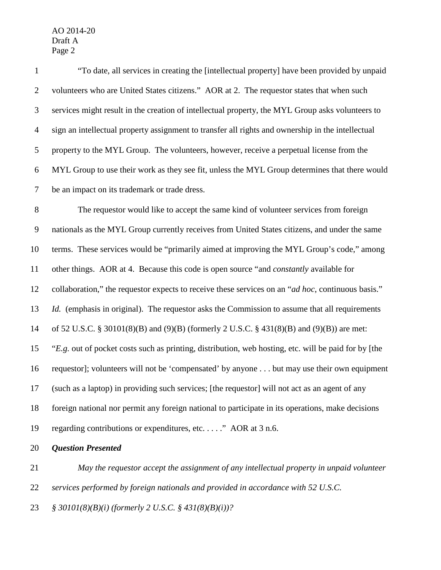| $\mathbf{1}$     | "To date, all services in creating the [intellectual property] have been provided by unpaid          |
|------------------|------------------------------------------------------------------------------------------------------|
| $\overline{2}$   | volunteers who are United States citizens." AOR at 2. The requestor states that when such            |
| $\mathfrak{Z}$   | services might result in the creation of intellectual property, the MYL Group asks volunteers to     |
| $\overline{4}$   | sign an intellectual property assignment to transfer all rights and ownership in the intellectual    |
| 5                | property to the MYL Group. The volunteers, however, receive a perpetual license from the             |
| $\boldsymbol{6}$ | MYL Group to use their work as they see fit, unless the MYL Group determines that there would        |
| $\tau$           | be an impact on its trademark or trade dress.                                                        |
| 8                | The requestor would like to accept the same kind of volunteer services from foreign                  |
| $\overline{9}$   | nationals as the MYL Group currently receives from United States citizens, and under the same        |
| 10               | terms. These services would be "primarily aimed at improving the MYL Group's code," among            |
| 11               | other things. AOR at 4. Because this code is open source "and <i>constantly</i> available for        |
| 12               | collaboration," the requestor expects to receive these services on an "ad hoc, continuous basis."    |
| 13               | <i>Id.</i> (emphasis in original). The requestor asks the Commission to assume that all requirements |
| 14               | of 52 U.S.C. § 30101(8)(B) and (9)(B) (formerly 2 U.S.C. § 431(8)(B) and (9)(B)) are met:            |
| 15               | "E.g. out of pocket costs such as printing, distribution, web hosting, etc. will be paid for by [the |
| 16               | requestor]; volunteers will not be 'compensated' by anyone but may use their own equipment           |
| 17               | (such as a laptop) in providing such services; [the requestor] will not act as an agent of any       |
| 18               | foreign national nor permit any foreign national to participate in its operations, make decisions    |
| 19               | regarding contributions or expenditures, etc" AOR at 3 n.6.                                          |
| 20               | <b>Question Presented</b>                                                                            |

 *May the requestor accept the assignment of any intellectual property in unpaid volunteer services performed by foreign nationals and provided in accordance with 52 U.S.C. § 30101(8)(B)(i) (formerly 2 U.S.C. § 431(8)(B)(i))?*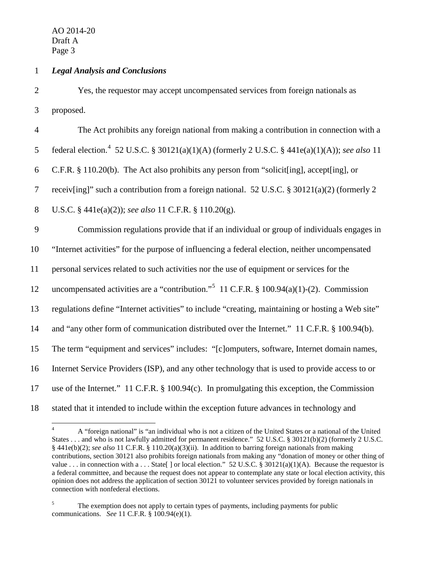## 1 *Legal Analysis and Conclusions*

2 Yes, the requestor may accept uncompensated services from foreign nationals as 3 proposed.

 The Act prohibits any foreign national from making a contribution in connection with a 5 federal election.<sup>[4](#page-3-0)</sup> 52 U.S.C. § 30121(a)(1)(A) (formerly 2 U.S.C. § 441e(a)(1)(A)); *see also* 11 C.F.R. § 110.20(b). The Act also prohibits any person from "solicit[ing], accept[ing], or receiv[ing]" such a contribution from a foreign national. 52 U.S.C. § 30121(a)(2) (formerly 2 U.S.C. § 441e(a)(2)); *see also* 11 C.F.R. § 110.20(g). Commission regulations provide that if an individual or group of individuals engages in "Internet activities" for the purpose of influencing a federal election, neither uncompensated personal services related to such activities nor the use of equipment or services for the 12 uncompensated activities are a "contribution."<sup>[5](#page-3-1)</sup> 11 C.F.R. § 100.94(a)(1)-(2). Commission regulations define "Internet activities" to include "creating, maintaining or hosting a Web site" and "any other form of communication distributed over the Internet." 11 C.F.R. § 100.94(b). The term "equipment and services" includes: "[c]omputers, software, Internet domain names, Internet Service Providers (ISP), and any other technology that is used to provide access to or use of the Internet." 11 C.F.R. § 100.94(c). In promulgating this exception, the Commission stated that it intended to include within the exception future advances in technology and

<span id="page-3-0"></span> <sup>4</sup> A "foreign national" is "an individual who is not a citizen of the United States or a national of the United States . . . and who is not lawfully admitted for permanent residence." 52 U.S.C. § 30121(b)(2) (formerly 2 U.S.C. § 441e(b)(2); *see also* 11 C.F.R. § 110.20(a)(3)(ii). In addition to barring foreign nationals from making contributions, section 30121 also prohibits foreign nationals from making any "donation of money or other thing of value . . . in connection with a . . . State  $\lceil$  or local election." 52 U.S.C. § 30121(a)(1)(A). Because the requestor is a federal committee, and because the request does not appear to contemplate any state or local election activity, this opinion does not address the application of section 30121 to volunteer services provided by foreign nationals in connection with nonfederal elections.

<span id="page-3-1"></span><sup>&</sup>lt;sup>5</sup> The exemption does not apply to certain types of payments, including payments for public communications. *See* 11 C.F.R. § 100.94(e)(1).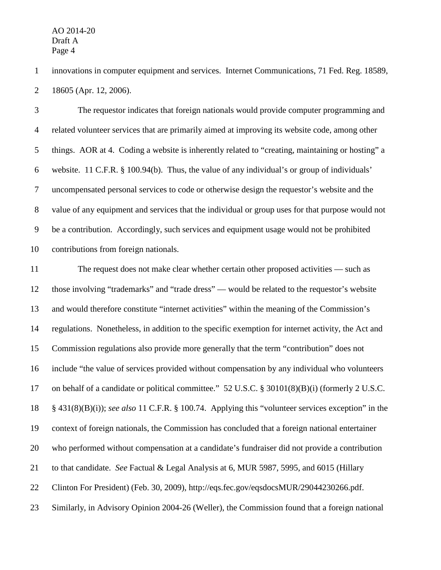innovations in computer equipment and services. Internet Communications, 71 Fed. Reg. 18589, 18605 (Apr. 12, 2006).

 The requestor indicates that foreign nationals would provide computer programming and related volunteer services that are primarily aimed at improving its website code, among other things. AOR at 4. Coding a website is inherently related to "creating, maintaining or hosting" a website. 11 C.F.R. § 100.94(b). Thus, the value of any individual's or group of individuals' uncompensated personal services to code or otherwise design the requestor's website and the value of any equipment and services that the individual or group uses for that purpose would not be a contribution. Accordingly, such services and equipment usage would not be prohibited contributions from foreign nationals.

11 The request does not make clear whether certain other proposed activities — such as those involving "trademarks" and "trade dress" — would be related to the requestor's website and would therefore constitute "internet activities" within the meaning of the Commission's regulations. Nonetheless, in addition to the specific exemption for internet activity, the Act and Commission regulations also provide more generally that the term "contribution" does not include "the value of services provided without compensation by any individual who volunteers on behalf of a candidate or political committee." 52 U.S.C. § 30101(8)(B)(i) (formerly 2 U.S.C. § 431(8)(B)(i)); *see also* 11 C.F.R. § 100.74. Applying this "volunteer services exception" in the context of foreign nationals, the Commission has concluded that a foreign national entertainer who performed without compensation at a candidate's fundraiser did not provide a contribution to that candidate. *See* Factual & Legal Analysis at 6, MUR 5987, 5995, and 6015 (Hillary Clinton For President) (Feb. 30, 2009), http://eqs.fec.gov/eqsdocsMUR/29044230266.pdf. Similarly, in Advisory Opinion 2004-26 (Weller), the Commission found that a foreign national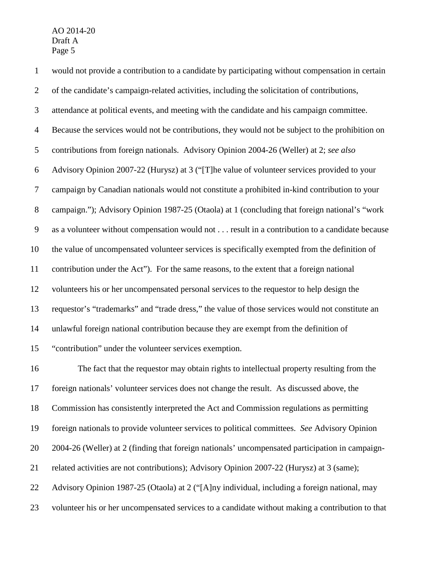would not provide a contribution to a candidate by participating without compensation in certain of the candidate's campaign-related activities, including the solicitation of contributions, attendance at political events, and meeting with the candidate and his campaign committee. Because the services would not be contributions, they would not be subject to the prohibition on contributions from foreign nationals. Advisory Opinion 2004-26 (Weller) at 2; *see also* Advisory Opinion 2007-22 (Hurysz) at 3 ("[T]he value of volunteer services provided to your campaign by Canadian nationals would not constitute a prohibited in-kind contribution to your campaign."); Advisory Opinion 1987-25 (Otaola) at 1 (concluding that foreign national's "work as a volunteer without compensation would not . . . result in a contribution to a candidate because the value of uncompensated volunteer services is specifically exempted from the definition of contribution under the Act"). For the same reasons, to the extent that a foreign national volunteers his or her uncompensated personal services to the requestor to help design the requestor's "trademarks" and "trade dress," the value of those services would not constitute an unlawful foreign national contribution because they are exempt from the definition of "contribution" under the volunteer services exemption.

 The fact that the requestor may obtain rights to intellectual property resulting from the foreign nationals' volunteer services does not change the result. As discussed above, the Commission has consistently interpreted the Act and Commission regulations as permitting foreign nationals to provide volunteer services to political committees. *See* Advisory Opinion 2004-26 (Weller) at 2 (finding that foreign nationals' uncompensated participation in campaign- related activities are not contributions); Advisory Opinion 2007-22 (Hurysz) at 3 (same); Advisory Opinion 1987-25 (Otaola) at 2 ("[A]ny individual, including a foreign national, may volunteer his or her uncompensated services to a candidate without making a contribution to that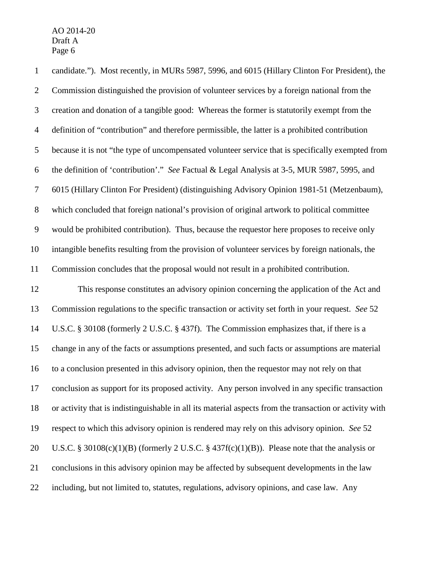candidate."). Most recently, in MURs 5987, 5996, and 6015 (Hillary Clinton For President), the Commission distinguished the provision of volunteer services by a foreign national from the creation and donation of a tangible good: Whereas the former is statutorily exempt from the definition of "contribution" and therefore permissible, the latter is a prohibited contribution because it is not "the type of uncompensated volunteer service that is specifically exempted from the definition of 'contribution'." *See* Factual & Legal Analysis at 3-5, MUR 5987, 5995, and 6015 (Hillary Clinton For President) (distinguishing Advisory Opinion 1981-51 (Metzenbaum), which concluded that foreign national's provision of original artwork to political committee would be prohibited contribution). Thus, because the requestor here proposes to receive only intangible benefits resulting from the provision of volunteer services by foreign nationals, the Commission concludes that the proposal would not result in a prohibited contribution.

 This response constitutes an advisory opinion concerning the application of the Act and Commission regulations to the specific transaction or activity set forth in your request. *See* 52 U.S.C. § 30108 (formerly 2 U.S.C. § 437f). The Commission emphasizes that, if there is a change in any of the facts or assumptions presented, and such facts or assumptions are material to a conclusion presented in this advisory opinion, then the requestor may not rely on that conclusion as support for its proposed activity. Any person involved in any specific transaction or activity that is indistinguishable in all its material aspects from the transaction or activity with respect to which this advisory opinion is rendered may rely on this advisory opinion. *See* 52 20 U.S.C. § 30108(c)(1)(B) (formerly 2 U.S.C. § 437f(c)(1)(B)). Please note that the analysis or conclusions in this advisory opinion may be affected by subsequent developments in the law including, but not limited to, statutes, regulations, advisory opinions, and case law. Any